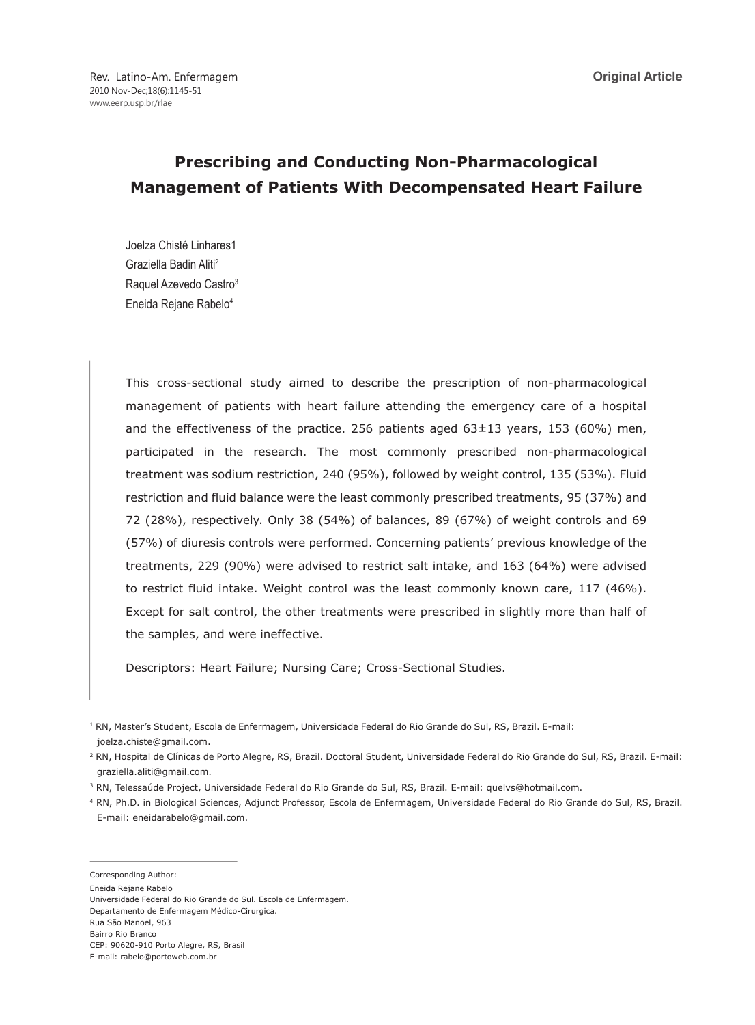# **Prescribing and Conducting Non-Pharmacological Management of Patients With Decompensated Heart Failure**

Joelza Chisté Linhares1 Graziella Badin Aliti2 Raquel Azevedo Castro<sup>3</sup> Eneida Rejane Rabelo4

This cross-sectional study aimed to describe the prescription of non-pharmacological management of patients with heart failure attending the emergency care of a hospital and the effectiveness of the practice. 256 patients aged  $63\pm13$  years, 153 (60%) men, participated in the research. The most commonly prescribed non-pharmacological treatment was sodium restriction, 240 (95%), followed by weight control, 135 (53%). Fluid restriction and fluid balance were the least commonly prescribed treatments, 95 (37%) and 72 (28%), respectively. Only 38 (54%) of balances, 89 (67%) of weight controls and 69 (57%) of diuresis controls were performed. Concerning patients' previous knowledge of the treatments, 229 (90%) were advised to restrict salt intake, and 163 (64%) were advised to restrict fluid intake. Weight control was the least commonly known care, 117 (46%). Except for salt control, the other treatments were prescribed in slightly more than half of the samples, and were ineffective.

Descriptors: Heart Failure; Nursing Care; Cross-Sectional Studies.

- 3 RN, Telessaúde Project, Universidade Federal do Rio Grande do Sul, RS, Brazil. E-mail: quelvs@hotmail.com.
- 4 RN, Ph.D. in Biological Sciences, Adjunct Professor, Escola de Enfermagem, Universidade Federal do Rio Grande do Sul, RS, Brazil. E-mail: eneidarabelo@gmail.com.

Rua São Manoel, 963

<sup>1</sup> RN, Master's Student, Escola de Enfermagem, Universidade Federal do Rio Grande do Sul, RS, Brazil. E-mail: joelza.chiste@gmail.com.

<sup>2</sup> RN, Hospital de Clínicas de Porto Alegre, RS, Brazil. Doctoral Student, Universidade Federal do Rio Grande do Sul, RS, Brazil. E-mail: graziella.aliti@gmail.com.

Corresponding Author:

Eneida Rejane Rabelo

Universidade Federal do Rio Grande do Sul. Escola de Enfermagem.

Departamento de Enfermagem Médico-Cirurgica.

Bairro Rio Branco

CEP: 90620-910 Porto Alegre, RS, Brasil

E-mail: rabelo@portoweb.com.br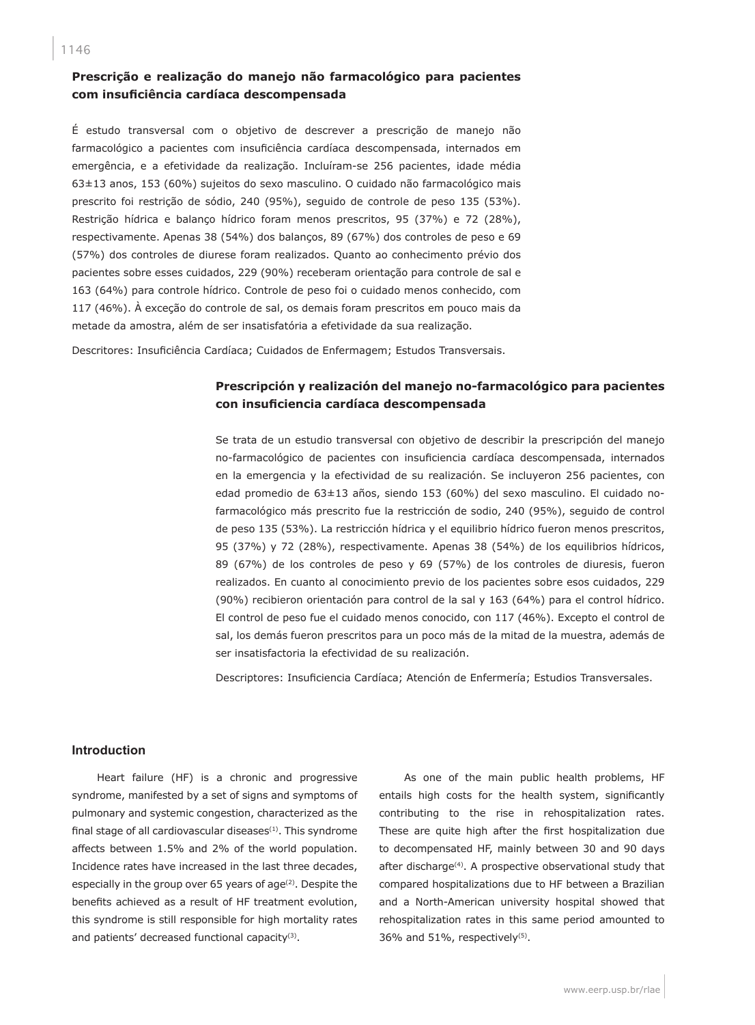# **Prescrição e realização do manejo não farmacológico para pacientes com insuficiência cardíaca descompensada**

É estudo transversal com o objetivo de descrever a prescrição de manejo não farmacológico a pacientes com insuficiência cardíaca descompensada, internados em emergência, e a efetividade da realização. Incluíram-se 256 pacientes, idade média 63±13 anos, 153 (60%) sujeitos do sexo masculino. O cuidado não farmacológico mais prescrito foi restrição de sódio, 240 (95%), seguido de controle de peso 135 (53%). Restrição hídrica e balanço hídrico foram menos prescritos, 95 (37%) e 72 (28%), respectivamente. Apenas 38 (54%) dos balanços, 89 (67%) dos controles de peso e 69 (57%) dos controles de diurese foram realizados. Quanto ao conhecimento prévio dos pacientes sobre esses cuidados, 229 (90%) receberam orientação para controle de sal e 163 (64%) para controle hídrico. Controle de peso foi o cuidado menos conhecido, com 117 (46%). À exceção do controle de sal, os demais foram prescritos em pouco mais da metade da amostra, além de ser insatisfatória a efetividade da sua realização.

Descritores: Insuficiência Cardíaca; Cuidados de Enfermagem; Estudos Transversais.

# **Prescripción y realización del manejo no-farmacológico para pacientes con insuficiencia cardíaca descompensada**

Se trata de un estudio transversal con objetivo de describir la prescripción del manejo no-farmacológico de pacientes con insuficiencia cardíaca descompensada, internados en la emergencia y la efectividad de su realización. Se incluyeron 256 pacientes, con edad promedio de 63±13 años, siendo 153 (60%) del sexo masculino. El cuidado nofarmacológico más prescrito fue la restricción de sodio, 240 (95%), seguido de control de peso 135 (53%). La restricción hídrica y el equilibrio hídrico fueron menos prescritos, 95 (37%) y 72 (28%), respectivamente. Apenas 38 (54%) de los equilibrios hídricos, 89 (67%) de los controles de peso y 69 (57%) de los controles de diuresis, fueron realizados. En cuanto al conocimiento previo de los pacientes sobre esos cuidados, 229 (90%) recibieron orientación para control de la sal y 163 (64%) para el control hídrico. El control de peso fue el cuidado menos conocido, con 117 (46%). Excepto el control de sal, los demás fueron prescritos para un poco más de la mitad de la muestra, además de ser insatisfactoria la efectividad de su realización.

Descriptores: Insuficiencia Cardíaca; Atención de Enfermería; Estudios Transversales.

# **Introduction**

Heart failure (HF) is a chronic and progressive syndrome, manifested by a set of signs and symptoms of pulmonary and systemic congestion, characterized as the final stage of all cardiovascular diseases $(1)$ . This syndrome affects between 1.5% and 2% of the world population. Incidence rates have increased in the last three decades, especially in the group over 65 years of age<sup>(2)</sup>. Despite the benefits achieved as a result of HF treatment evolution, this syndrome is still responsible for high mortality rates and patients' decreased functional capacity<sup>(3)</sup>.

As one of the main public health problems, HF entails high costs for the health system, significantly contributing to the rise in rehospitalization rates. These are quite high after the first hospitalization due to decompensated HF, mainly between 30 and 90 days after discharge<sup>(4)</sup>. A prospective observational study that compared hospitalizations due to HF between a Brazilian and a North-American university hospital showed that rehospitalization rates in this same period amounted to 36% and 51%, respectively<sup>(5)</sup>.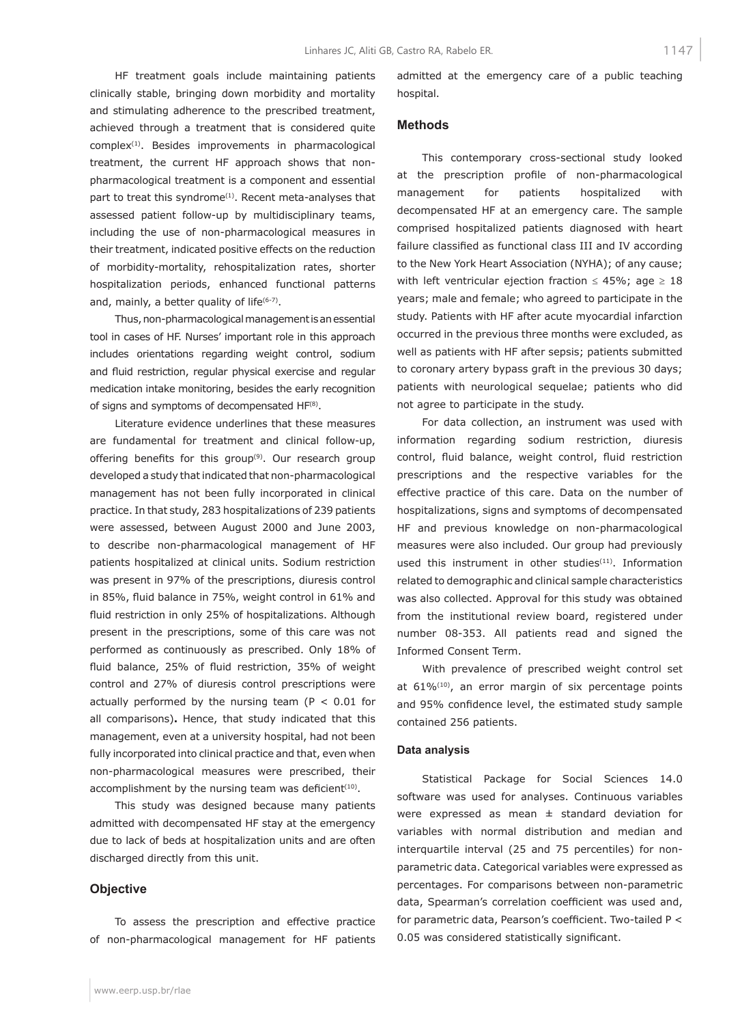hospital.

**Methods**

HF treatment goals include maintaining patients clinically stable, bringing down morbidity and mortality and stimulating adherence to the prescribed treatment, achieved through a treatment that is considered quite complex(1). Besides improvements in pharmacological treatment, the current HF approach shows that nonpharmacological treatment is a component and essential part to treat this syndrome<sup>(1)</sup>. Recent meta-analyses that assessed patient follow-up by multidisciplinary teams, including the use of non-pharmacological measures in their treatment, indicated positive effects on the reduction of morbidity-mortality, rehospitalization rates, shorter hospitalization periods, enhanced functional patterns and, mainly, a better quality of life $(6-7)$ .

Thus, non-pharmacological management is an essential tool in cases of HF. Nurses' important role in this approach includes orientations regarding weight control, sodium and fluid restriction, regular physical exercise and regular medication intake monitoring, besides the early recognition of signs and symptoms of decompensated HF(8).

Literature evidence underlines that these measures are fundamental for treatment and clinical follow-up, offering benefits for this group $(9)$ . Our research group developed a study that indicated that non-pharmacological management has not been fully incorporated in clinical practice. In that study, 283 hospitalizations of 239 patients were assessed, between August 2000 and June 2003, to describe non-pharmacological management of HF patients hospitalized at clinical units. Sodium restriction was present in 97% of the prescriptions, diuresis control in 85%, fluid balance in 75%, weight control in 61% and fluid restriction in only 25% of hospitalizations. Although present in the prescriptions, some of this care was not performed as continuously as prescribed. Only 18% of fluid balance, 25% of fluid restriction, 35% of weight control and 27% of diuresis control prescriptions were actually performed by the nursing team ( $P < 0.01$  for all comparisons)**.** Hence, that study indicated that this management, even at a university hospital, had not been fully incorporated into clinical practice and that, even when non-pharmacological measures were prescribed, their accomplishment by the nursing team was deficient<sup>(10)</sup>.

This study was designed because many patients admitted with decompensated HF stay at the emergency due to lack of beds at hospitalization units and are often discharged directly from this unit.

### **Objective**

To assess the prescription and effective practice of non-pharmacological management for HF patients

well as patients with HF after sepsis; patients submitted to coronary artery bypass graft in the previous 30 days; patients with neurological sequelae; patients who did not agree to participate in the study.

admitted at the emergency care of a public teaching

This contemporary cross-sectional study looked at the prescription profile of non-pharmacological management for patients hospitalized with decompensated HF at an emergency care. The sample comprised hospitalized patients diagnosed with heart failure classified as functional class III and IV according to the New York Heart Association (NYHA); of any cause; with left ventricular ejection fraction  $\leq 45\%$ ; age  $\geq 18$ years; male and female; who agreed to participate in the study. Patients with HF after acute myocardial infarction occurred in the previous three months were excluded, as

For data collection, an instrument was used with information regarding sodium restriction, diuresis control, fluid balance, weight control, fluid restriction prescriptions and the respective variables for the effective practice of this care. Data on the number of hospitalizations, signs and symptoms of decompensated HF and previous knowledge on non-pharmacological measures were also included. Our group had previously used this instrument in other studies<sup>(11)</sup>. Information related to demographic and clinical sample characteristics was also collected. Approval for this study was obtained from the institutional review board, registered under number 08-353. All patients read and signed the Informed Consent Term.

With prevalence of prescribed weight control set at  $61\%$ <sup>(10)</sup>, an error margin of six percentage points and 95% confidence level, the estimated study sample contained 256 patients.

#### **Data analysis**

Statistical Package for Social Sciences 14.0 software was used for analyses. Continuous variables were expressed as mean  $\pm$  standard deviation for variables with normal distribution and median and interquartile interval (25 and 75 percentiles) for nonparametric data. Categorical variables were expressed as percentages. For comparisons between non-parametric data, Spearman's correlation coefficient was used and, for parametric data, Pearson's coefficient. Two-tailed P < 0.05 was considered statistically significant.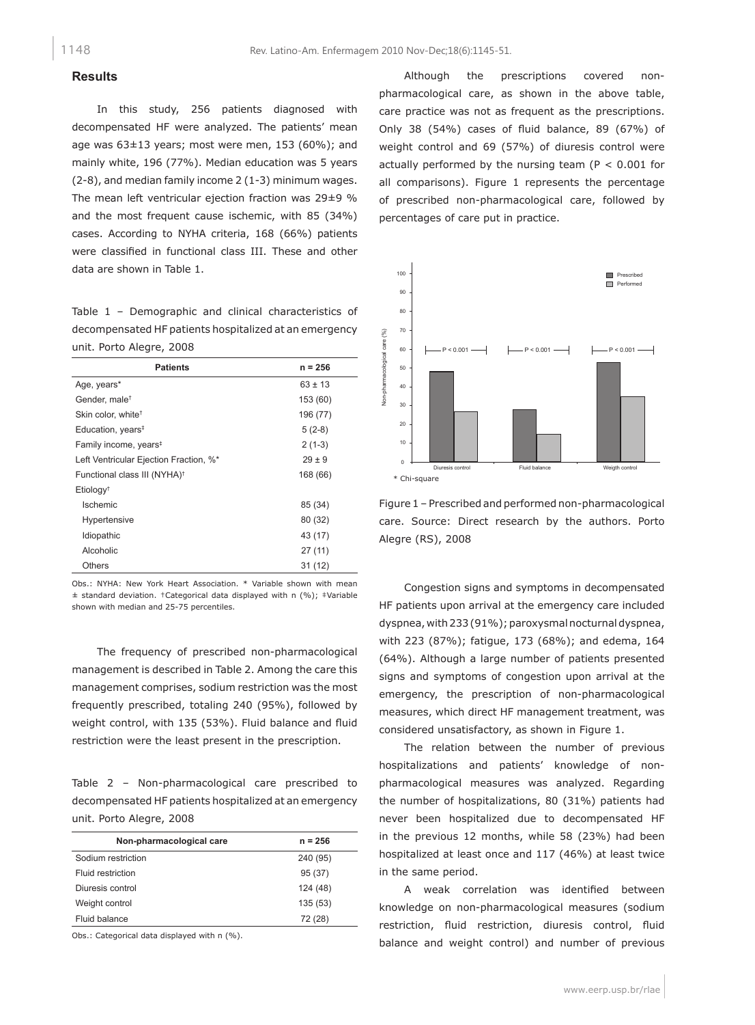# **Results**

In this study, 256 patients diagnosed with decompensated HF were analyzed. The patients' mean age was 63±13 years; most were men, 153 (60%); and mainly white, 196 (77%). Median education was 5 years (2-8), and median family income 2 (1-3) minimum wages. The mean left ventricular ejection fraction was 29±9 % and the most frequent cause ischemic, with 85 (34%) cases. According to NYHA criteria, 168 (66%) patients were classified in functional class III. These and other data are shown in Table 1.

Table 1 – Demographic and clinical characteristics of decompensated HF patients hospitalized at an emergency unit. Porto Alegre, 2008

| <b>Patients</b>                          | $n = 256$   |
|------------------------------------------|-------------|
| Age, years*                              | $63 \pm 13$ |
| Gender, male <sup>†</sup>                | 153 (60)    |
| Skin color, white <sup>†</sup>           | 196 (77)    |
| Education, years <sup>#</sup>            | $5(2-8)$    |
| Family income, years <sup>#</sup>        | $2(1-3)$    |
| Left Ventricular Ejection Fraction, %*   | $29 \pm 9$  |
| Functional class III (NYHA) <sup>†</sup> | 168 (66)    |
| Etiology <sup>+</sup>                    |             |
| <b>Ischemic</b>                          | 85 (34)     |
| Hypertensive                             | 80 (32)     |
| Idiopathic                               | 43 (17)     |
| Alcoholic                                | 27(11)      |
| Others                                   | 31(12)      |

Obs.: NYHA: New York Heart Association. \* Variable shown with mean ± standard deviation. †Categorical data displayed with n (%); ‡Variable shown with median and 25-75 percentiles.

The frequency of prescribed non-pharmacological management is described in Table 2. Among the care this management comprises, sodium restriction was the most frequently prescribed, totaling 240 (95%), followed by weight control, with 135 (53%). Fluid balance and fluid restriction were the least present in the prescription.

Table 2 – Non-pharmacological care prescribed to decompensated HF patients hospitalized at an emergency unit. Porto Alegre, 2008

| Non-pharmacological care | $n = 256$ |
|--------------------------|-----------|
| Sodium restriction       | 240 (95)  |
| Fluid restriction        | 95 (37)   |
| Diuresis control         | 124 (48)  |
| Weight control           | 135(53)   |
| Fluid balance            | 72 (28)   |

Obs.: Categorical data displayed with n (%).

Although the prescriptions covered nonpharmacological care, as shown in the above table, care practice was not as frequent as the prescriptions. Only 38 (54%) cases of fluid balance, 89 (67%) of weight control and 69 (57%) of diuresis control were actually performed by the nursing team ( $P < 0.001$  for all comparisons). Figure 1 represents the percentage of prescribed non-pharmacological care, followed by percentages of care put in practice.



Figure 1 – Prescribed and performed non-pharmacological care. Source: Direct research by the authors. Porto Alegre (RS), 2008

Congestion signs and symptoms in decompensated HF patients upon arrival at the emergency care included dyspnea, with 233 (91%); paroxysmal nocturnal dyspnea, with 223 (87%); fatigue, 173 (68%); and edema, 164 (64%). Although a large number of patients presented signs and symptoms of congestion upon arrival at the emergency, the prescription of non-pharmacological measures, which direct HF management treatment, was considered unsatisfactory, as shown in Figure 1.

The relation between the number of previous hospitalizations and patients' knowledge of nonpharmacological measures was analyzed. Regarding the number of hospitalizations, 80 (31%) patients had never been hospitalized due to decompensated HF in the previous 12 months, while 58 (23%) had been hospitalized at least once and 117 (46%) at least twice in the same period.

A weak correlation was identified between knowledge on non-pharmacological measures (sodium restriction, fluid restriction, diuresis control, fluid balance and weight control) and number of previous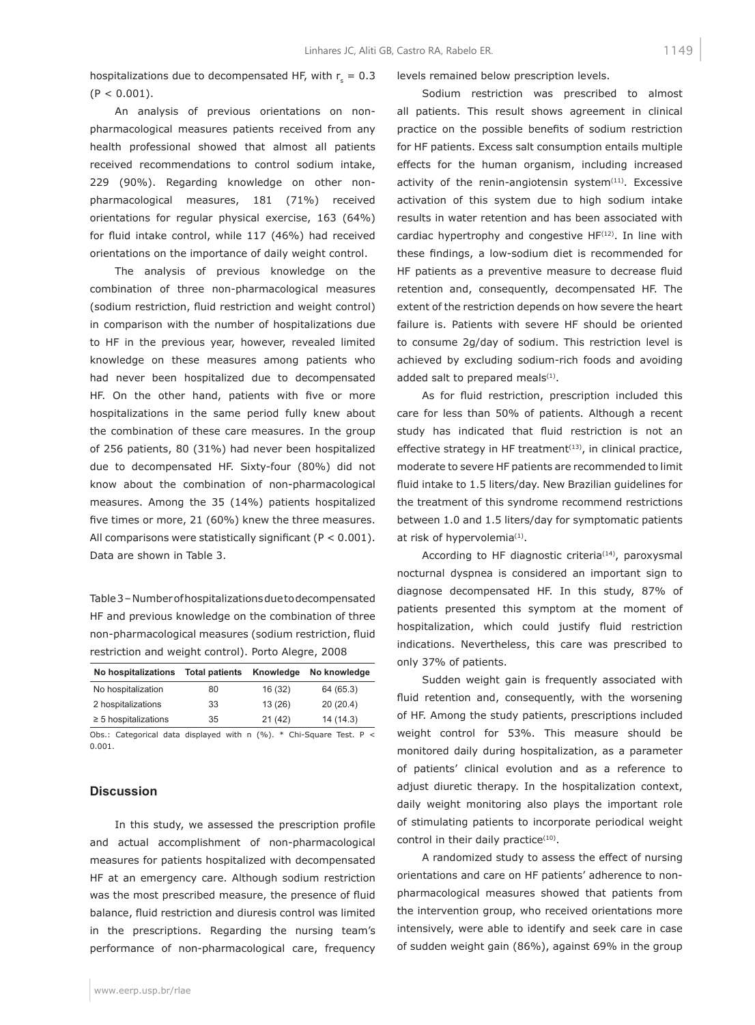hospitalizations due to decompensated HF, with  $r_s = 0.3$  $(P < 0.001)$ .

An analysis of previous orientations on nonpharmacological measures patients received from any health professional showed that almost all patients received recommendations to control sodium intake, 229 (90%). Regarding knowledge on other nonpharmacological measures, 181 (71%) received orientations for regular physical exercise, 163 (64%) for fluid intake control, while 117 (46%) had received orientations on the importance of daily weight control.

The analysis of previous knowledge on the combination of three non-pharmacological measures (sodium restriction, fluid restriction and weight control) in comparison with the number of hospitalizations due to HF in the previous year, however, revealed limited knowledge on these measures among patients who had never been hospitalized due to decompensated HF. On the other hand, patients with five or more hospitalizations in the same period fully knew about the combination of these care measures. In the group of 256 patients, 80 (31%) had never been hospitalized due to decompensated HF. Sixty-four (80%) did not know about the combination of non-pharmacological measures. Among the 35 (14%) patients hospitalized five times or more, 21 (60%) knew the three measures. All comparisons were statistically significant ( $P < 0.001$ ). Data are shown in Table 3.

Table 3 – Number of hospitalizations due to decompensated HF and previous knowledge on the combination of three non-pharmacological measures (sodium restriction, fluid restriction and weight control). Porto Alegre, 2008

| No hospitalizations       | <b>Total patients</b> | Knowledge | No knowledge |
|---------------------------|-----------------------|-----------|--------------|
| No hospitalization        | 80                    | 16 (32)   | 64 (65.3)    |
| 2 hospitalizations        | 33                    | 13(26)    | 20(20.4)     |
| $\geq$ 5 hospitalizations | 35                    | 21(42)    | 14 (14.3)    |
|                           |                       |           |              |

Obs.: Categorical data displayed with n (%). \* Chi-Square Test. P < 0.001.

## **Discussion**

In this study, we assessed the prescription profile and actual accomplishment of non-pharmacological measures for patients hospitalized with decompensated HF at an emergency care. Although sodium restriction was the most prescribed measure, the presence of fluid balance, fluid restriction and diuresis control was limited in the prescriptions. Regarding the nursing team's performance of non-pharmacological care, frequency

levels remained below prescription levels.

Sodium restriction was prescribed to almost all patients. This result shows agreement in clinical practice on the possible benefits of sodium restriction for HF patients. Excess salt consumption entails multiple effects for the human organism, including increased activity of the renin-angiotensin system $(11)$ . Excessive activation of this system due to high sodium intake results in water retention and has been associated with cardiac hypertrophy and congestive  $HF<sup>(12)</sup>$ . In line with these findings, a low-sodium diet is recommended for HF patients as a preventive measure to decrease fluid retention and, consequently, decompensated HF. The extent of the restriction depends on how severe the heart failure is. Patients with severe HF should be oriented to consume 2g/day of sodium. This restriction level is achieved by excluding sodium-rich foods and avoiding added salt to prepared meals<sup>(1)</sup>.

As for fluid restriction, prescription included this care for less than 50% of patients. Although a recent study has indicated that fluid restriction is not an effective strategy in HF treatment<sup>(13)</sup>, in clinical practice, moderate to severe HF patients are recommended to limit fluid intake to 1.5 liters/day. New Brazilian guidelines for the treatment of this syndrome recommend restrictions between 1.0 and 1.5 liters/day for symptomatic patients at risk of hypervolemia<sup>(1)</sup>.

According to HF diagnostic criteria<sup> $(14)$ </sup>, paroxysmal nocturnal dyspnea is considered an important sign to diagnose decompensated HF. In this study, 87% of patients presented this symptom at the moment of hospitalization, which could justify fluid restriction indications. Nevertheless, this care was prescribed to only 37% of patients.

Sudden weight gain is frequently associated with fluid retention and, consequently, with the worsening of HF. Among the study patients, prescriptions included weight control for 53%. This measure should be monitored daily during hospitalization, as a parameter of patients' clinical evolution and as a reference to adjust diuretic therapy. In the hospitalization context, daily weight monitoring also plays the important role of stimulating patients to incorporate periodical weight control in their daily practice<sup>(10)</sup>.

A randomized study to assess the effect of nursing orientations and care on HF patients' adherence to nonpharmacological measures showed that patients from the intervention group, who received orientations more intensively, were able to identify and seek care in case of sudden weight gain (86%), against 69% in the group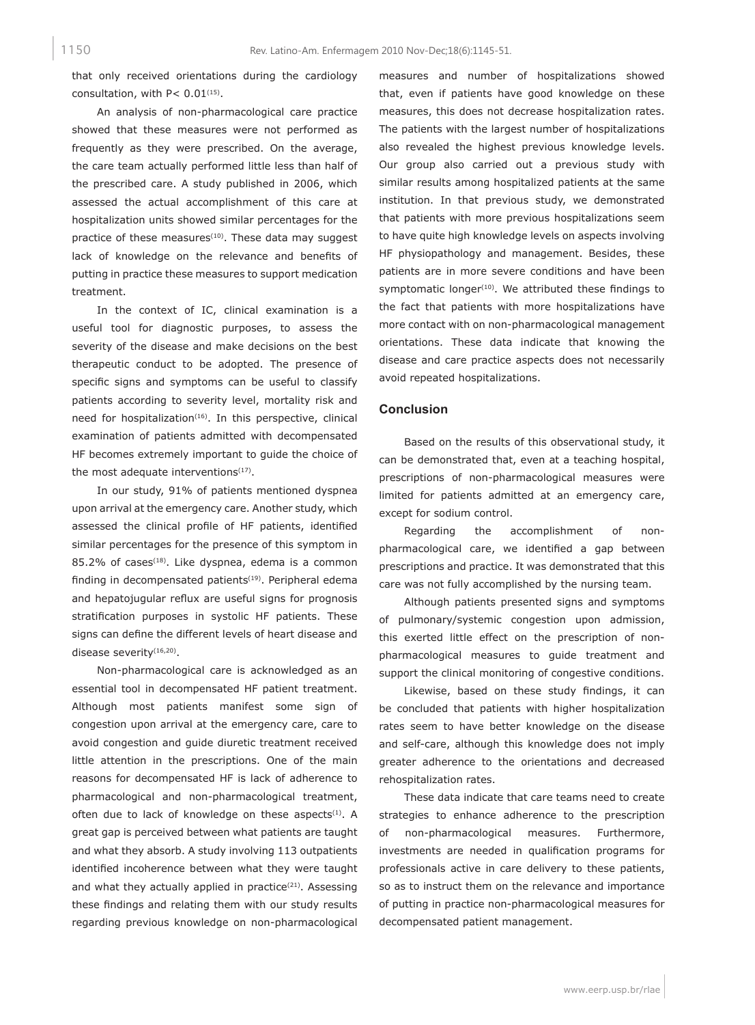that only received orientations during the cardiology consultation, with  $P < 0.01$ <sup>(15)</sup>.

An analysis of non-pharmacological care practice showed that these measures were not performed as frequently as they were prescribed. On the average, the care team actually performed little less than half of the prescribed care. A study published in 2006, which assessed the actual accomplishment of this care at hospitalization units showed similar percentages for the practice of these measures<sup>(10)</sup>. These data may suggest lack of knowledge on the relevance and benefits of putting in practice these measures to support medication treatment.

In the context of IC, clinical examination is a useful tool for diagnostic purposes, to assess the severity of the disease and make decisions on the best therapeutic conduct to be adopted. The presence of specific signs and symptoms can be useful to classify patients according to severity level, mortality risk and need for hospitalization<sup>(16)</sup>. In this perspective, clinical examination of patients admitted with decompensated HF becomes extremely important to guide the choice of the most adequate interventions $(17)$ .

In our study, 91% of patients mentioned dyspnea upon arrival at the emergency care. Another study, which assessed the clinical profile of HF patients, identified similar percentages for the presence of this symptom in 85.2% of cases<sup>(18)</sup>. Like dyspnea, edema is a common finding in decompensated patients<sup>(19)</sup>. Peripheral edema and hepatojugular reflux are useful signs for prognosis stratification purposes in systolic HF patients. These signs can define the different levels of heart disease and disease severity<sup>(16,20)</sup>.

Non-pharmacological care is acknowledged as an essential tool in decompensated HF patient treatment. Although most patients manifest some sign of congestion upon arrival at the emergency care, care to avoid congestion and guide diuretic treatment received little attention in the prescriptions. One of the main reasons for decompensated HF is lack of adherence to pharmacological and non-pharmacological treatment, often due to lack of knowledge on these aspects<sup>(1)</sup>. A great gap is perceived between what patients are taught and what they absorb. A study involving 113 outpatients identified incoherence between what they were taught and what they actually applied in practice<sup>(21)</sup>. Assessing these findings and relating them with our study results regarding previous knowledge on non-pharmacological

measures and number of hospitalizations showed that, even if patients have good knowledge on these measures, this does not decrease hospitalization rates. The patients with the largest number of hospitalizations also revealed the highest previous knowledge levels. Our group also carried out a previous study with similar results among hospitalized patients at the same institution. In that previous study, we demonstrated that patients with more previous hospitalizations seem to have quite high knowledge levels on aspects involving HF physiopathology and management. Besides, these patients are in more severe conditions and have been symptomatic longer $(10)$ . We attributed these findings to the fact that patients with more hospitalizations have more contact with on non-pharmacological management orientations. These data indicate that knowing the disease and care practice aspects does not necessarily avoid repeated hospitalizations.

## **Conclusion**

Based on the results of this observational study, it can be demonstrated that, even at a teaching hospital, prescriptions of non-pharmacological measures were limited for patients admitted at an emergency care, except for sodium control.

Regarding the accomplishment of nonpharmacological care, we identified a gap between prescriptions and practice. It was demonstrated that this care was not fully accomplished by the nursing team.

Although patients presented signs and symptoms of pulmonary/systemic congestion upon admission, this exerted little effect on the prescription of nonpharmacological measures to guide treatment and support the clinical monitoring of congestive conditions.

Likewise, based on these study findings, it can be concluded that patients with higher hospitalization rates seem to have better knowledge on the disease and self-care, although this knowledge does not imply greater adherence to the orientations and decreased rehospitalization rates.

These data indicate that care teams need to create strategies to enhance adherence to the prescription non-pharmacological measures. Furthermore, investments are needed in qualification programs for professionals active in care delivery to these patients, so as to instruct them on the relevance and importance of putting in practice non-pharmacological measures for decompensated patient management.